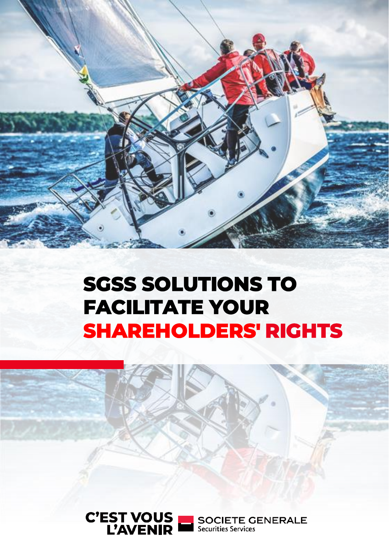

# **SGSS SOLUTIONS TO FACILITATE YOUR SHAREHOLDERS' RIGHTS**



**SOCIETE GENERALE** Securities Services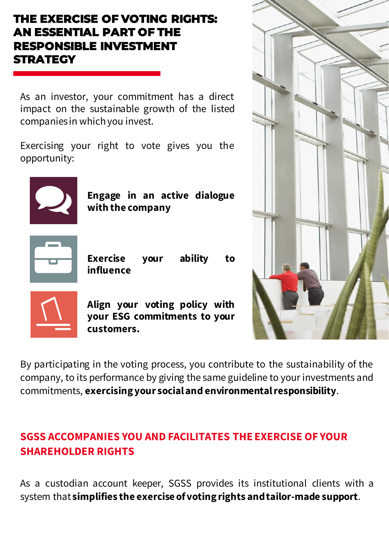## **THE EXERCISE OF VOTING RIGHTS: AN ESSENTIAL PART OF THE RESPONSIBLE INVESTMENT STRATEGY**

As an investor, your commitment has a direct impact on the sustainable growth of the listed companies in whichyou invest.

Exercising your right to vote gives you the opportunity:



**Engage in an active dialogue with the company**



**Exercise your ability to influence**



**Align your voting policy with your ESG commitments to your customers.**

By participating in the voting process, you contribute to the sustainability of the company, to its performance by giving the same guideline to your investments and commitments, **exercisingyour socialand environmentalresponsibility**.

## **SGSS ACCOMPANIES YOU AND FACILITATES THE EXERCISE OF YOUR SHAREHOLDER RIGHTS**

As a custodian account keeper, SGSS provides its institutional clients with a system that **simplifies the exercise ofvotingrights andtailor-made support**.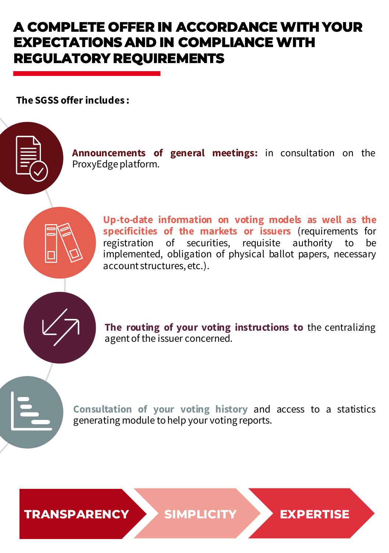## **A COMPLETE OFFER IN ACCORDANCE WITH YOUR EXPECTATIONS AND IN COMPLIANCE WITH REGULATORY REQUIREMENTS**

**The SGSS offer includes :** 



**Announcements of general meetings:** in consultation on the ProxyEdge platform.



**Up-to-date information on voting models as well as the specificities of the markets or issuers** (requirements for registration of securities, requisite authority to be implemented, obligation of physical ballot papers, necessary account structures, etc.).

**The routing of your voting instructions to** the centralizing agentof the issuer concerned.

**Consultation of your voting history** and access to a statistics generating module tohelp your voting reports.

**TRANSPARENCY SIMPLICITY EXPERTISE**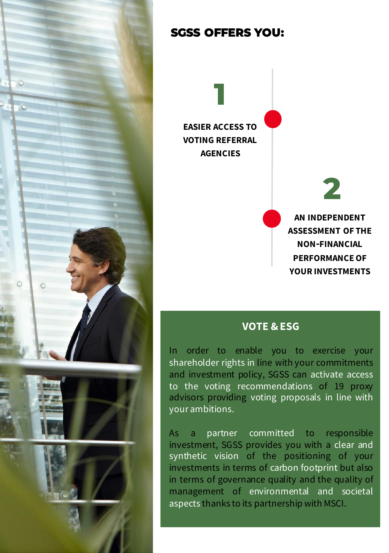

## **SGSS OFFERS YOU:**

**EASIER ACCESS TO VOTING REFERRAL AGENCIES**

**1**

**AN INDEPENDENT ASSESSMENT OF THE NON-FINANCIAL PERFORMANCEOF YOUR INVESTMENTS**

**2**

## **VOTE & ESG**

In order to enable you to exercise your shareholder rights in line with your commitments and investment policy, SGSS can activate access to the voting recommendations of 19 proxy advisors providing voting proposals in line with your ambitions.

As a partner committed to responsible investment, SGSS provides you with a clear and synthetic vision of the positioning of your investments in terms of carbon footprint but also in terms of governance quality and the quality of management of environmental and societal aspects thanks to its partnership with MSCI.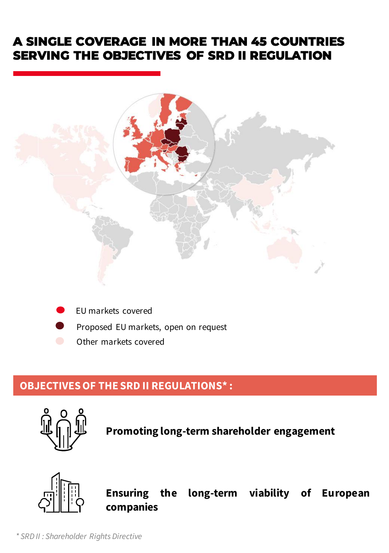## **A SINGLE COVERAGE IN MORE THAN 45 COUNTRIES SERVING THE OBJECTIVES OF SRD II REGULATION**



- EU markets covered
- Proposed EU markets, open on request
- Other markets covered

## **OBJECTIVESOF THE SRD II REGULATIONS\* :**



**Promoting long-term shareholder engagement**



**Ensuring the long-term viability of European companies**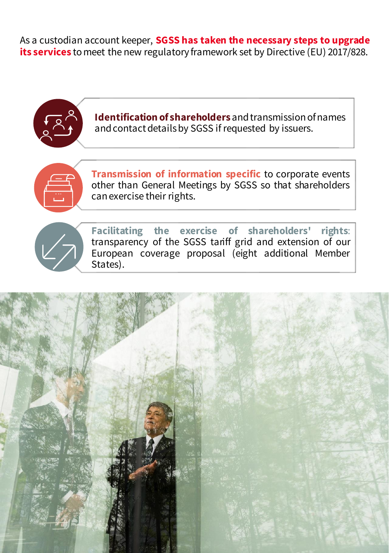As a custodian account keeper, **SGSS has taken the necessary steps to upgrade its services** tomeet the new regulatory framework set by Directive (EU) 2017/828.

**Identification of shareholders** and transmission of names and contact details by SGSS if requested by issuers. **Transmission of information specific** to corporate events other than General Meetings by SGSS so that shareholders canexercise their rights. **Facilitating the exercise of shareholders' rights**: transparency of the SGSS tariff grid and extension of our European coverage proposal (eight additional Member States).

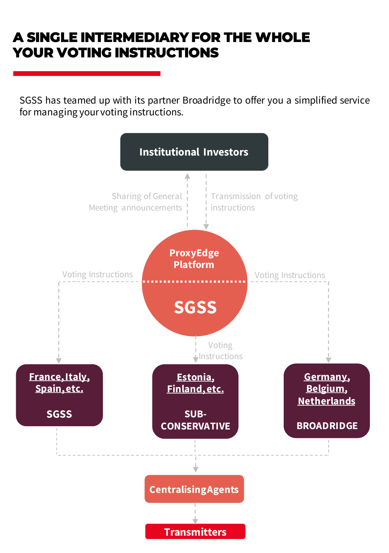## **A SINGLE INTERMEDIARY FOR THE WHOLE YOUR VOTING INSTRUCTIONS**

SGSS has teamed up with its partner Broadridge to offer you a simplified service for managing your voting instructions.

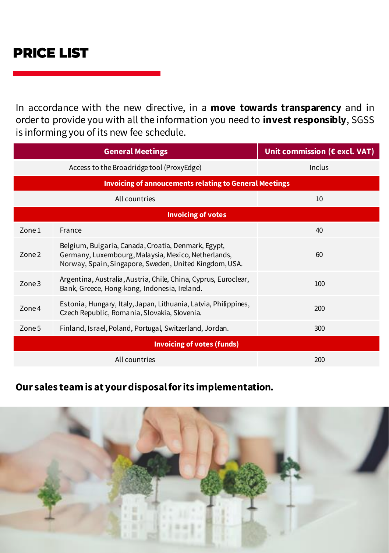In accordance with the new directive, in a **move towards transparency** and in order to provide you with all the information you need to **invest responsibly**, SGSS is informing you of its new fee schedule.

|                                                               | <b>General Meetings</b>                                                                                                                                              | Unit commission (€ excl. VAT) |
|---------------------------------------------------------------|----------------------------------------------------------------------------------------------------------------------------------------------------------------------|-------------------------------|
|                                                               | Access to the Broadridge tool (ProxyEdge)                                                                                                                            | Inclus                        |
| <b>Invoicing of annoucements relating to General Meetings</b> |                                                                                                                                                                      |                               |
| All countries                                                 |                                                                                                                                                                      | 10                            |
| <b>Invoicing of votes</b>                                     |                                                                                                                                                                      |                               |
| Zone 1                                                        | France                                                                                                                                                               | 40                            |
| Zone <sub>2</sub>                                             | Belgium, Bulgaria, Canada, Croatia, Denmark, Egypt,<br>Germany, Luxembourg, Malaysia, Mexico, Netherlands,<br>Norway, Spain, Singapore, Sweden, United Kingdom, USA. | 60                            |
| Zone <sub>3</sub>                                             | Argentina, Australia, Austria, Chile, China, Cyprus, Euroclear,<br>Bank, Greece, Hong-kong, Indonesia, Ireland.                                                      | 100                           |
| Zone 4                                                        | Estonia, Hungary, Italy, Japan, Lithuania, Latvia, Philippines,<br>Czech Republic, Romania, Slovakia, Slovenia.                                                      | 200                           |
| Zone 5                                                        | Finland, Israel, Poland, Portugal, Switzerland, Jordan.                                                                                                              | 300                           |
| <b>Invoicing of votes (funds)</b>                             |                                                                                                                                                                      |                               |
| All countries                                                 |                                                                                                                                                                      | 200                           |

### **Our sales team is at your disposal for its implementation.**

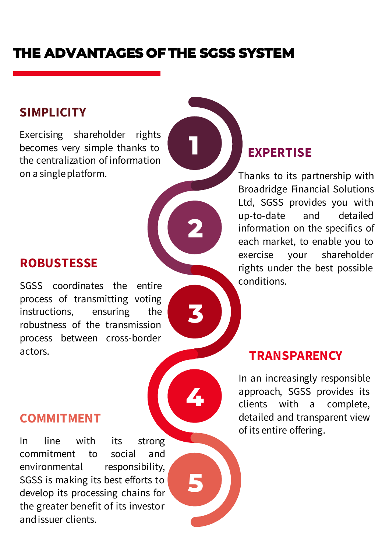## **THE ADVANTAGES OF THE SGSS SYSTEM**

**1**

**2**

**3**

**4**

**5**

## **SIMPLICITY**

Exercising shareholder rights becomes very simple thanks to the centralization of information on a singleplatform.

## **ROBUSTESSE**

SGSS coordinates the entire process of transmitting voting instructions, ensuring the robustness of the transmission process between cross-border actors. **TRANSPARENCY** 

## **COMMITMENT**

In line with its strong commitment to social and environmental responsibility, SGSS is making its best efforts to develop its processing chains for the greater benefit of its investor andissuer clients.

## **EXPERTISE**

Thanks to its partnership with Broadridge Financial Solutions Ltd, SGSS provides you with up-to-date and detailed information on the specifics of each market, to enable you to exercise your shareholder rights under the best possible conditions.

In an increasingly responsible approach, SGSS provides its clients with a complete, detailed and transparent view of its entire offering.